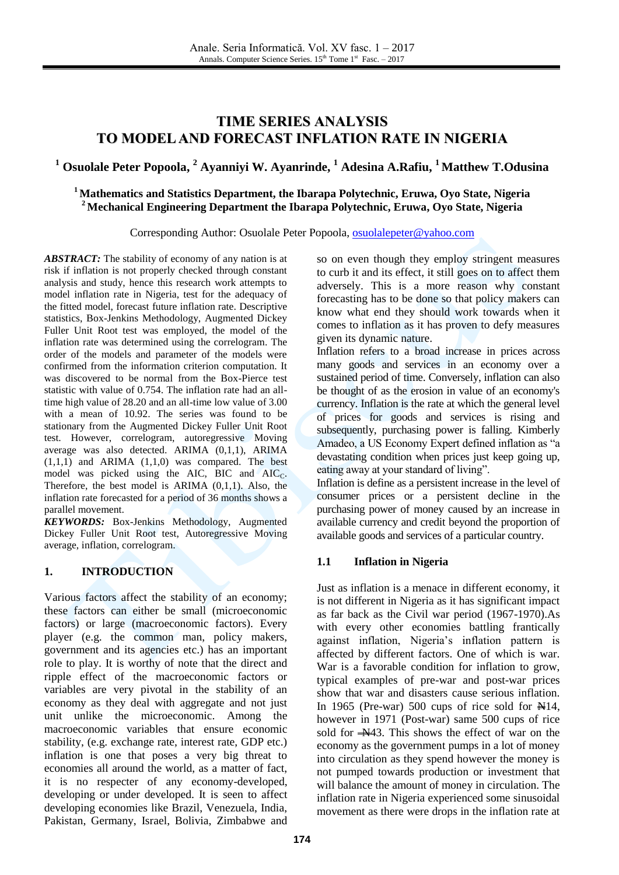# **TIME SERIES ANALYSIS TO MODEL AND FORECAST INFLATION RATE IN NIGERIA**

**<sup>1</sup> Osuolale Peter Popoola, <sup>2</sup> Ayanniyi W. Ayanrinde, <sup>1</sup> Adesina A.Rafiu, <sup>1</sup> Matthew T.Odusina**

## **<sup>1</sup> Mathematics and Statistics Department, the Ibarapa Polytechnic, Eruwa, Oyo State, Nigeria <sup>2</sup> Mechanical Engineering Department the Ibarapa Polytechnic, Eruwa, Oyo State, Nigeria**

Corresponding Author: Osuolale Peter Popoola, [osuolalepeter@yahoo.com](mailto:osuolalepeter@yahoo.com)

*ABSTRACT:* The stability of economy of any nation is at risk if inflation is not properly checked through constant analysis and study, hence this research work attempts to model inflation rate in Nigeria, test for the adequacy of the fitted model, forecast future inflation rate. Descriptive statistics, Box-Jenkins Methodology, Augmented Dickey Fuller Unit Root test was employed, the model of the inflation rate was determined using the correlogram. The order of the models and parameter of the models were confirmed from the information criterion computation. It was discovered to be normal from the Box-Pierce test statistic with value of 0.754. The inflation rate had an alltime high value of 28.20 and an all-time low value of 3.00 with a mean of 10.92. The series was found to be stationary from the Augmented Dickey Fuller Unit Root test. However, correlogram, autoregressive Moving average was also detected. ARIMA (0,1,1), ARIMA  $(1,1,1)$  and ARIMA  $(1,1,0)$  was compared. The best model was picked using the AIC,  $\overline{BIC}$  and  $\overline{AIC_C}$ . Therefore, the best model is ARIMA (0,1,1). Also, the inflation rate forecasted for a period of 36 months shows a parallel movement.

*KEYWORDS:* Box-Jenkins Methodology, Augmented Dickey Fuller Unit Root test, Autoregressive Moving average, inflation, correlogram.

# **1. INTRODUCTION**

Various factors affect the stability of an economy; these factors can either be small (microeconomic factors) or large (macroeconomic factors). Every player (e.g. the common man, policy makers, government and its agencies etc.) has an important role to play. It is worthy of note that the direct and ripple effect of the macroeconomic factors or variables are very pivotal in the stability of an economy as they deal with aggregate and not just unit unlike the microeconomic. Among the macroeconomic variables that ensure economic stability, (e.g. exchange rate, interest rate, GDP etc.) inflation is one that poses a very big threat to economies all around the world, as a matter of fact, it is no respecter of any economy-developed, developing or under developed. It is seen to affect developing economies like Brazil, Venezuela, India, Pakistan, Germany, Israel, Bolivia, Zimbabwe and so on even though they employ stringent measures to curb it and its effect, it still goes on to affect them adversely. This is a more reason why constant forecasting has to be done so that policy makers can know what end they should work towards when it comes to inflation as it has proven to defy measures given its dynamic nature.

Inflation refers to a broad increase in prices across many goods and services in an economy over a sustained period of time. Conversely, inflation can also be thought of as the erosion in value of an economy's currency. Inflation is the rate at which the general level of prices for goods and services is rising and subsequently, purchasing power is falling. Kimberly Amadeo, a US Economy Expert defined inflation as "a devastating condition when prices just keep going up, eating away at your standard of living".

Inflation is define as a persistent increase in the level of consumer prices or a persistent decline in the purchasing power of money caused by an increase in available currency and credit beyond the proportion of available goods and services of a particular country.

# **1.1 Inflation in Nigeria**

Just as inflation is a menace in different economy, it is not different in Nigeria as it has significant impact as far back as the Civil war period (1967-1970).As with every other economies battling frantically against inflation, Nigeria's inflation pattern is affected by different factors. One of which is war. War is a favorable condition for inflation to grow, typical examples of pre-war and post-war prices show that war and disasters cause serious inflation. In 1965 (Pre-war) 500 cups of rice sold for  $\mathbb{H}14$ , however in 1971 (Post-war) same 500 cups of rice sold for  $-M43$ . This shows the effect of war on the economy as the government pumps in a lot of money into circulation as they spend however the money is not pumped towards production or investment that will balance the amount of money in circulation. The inflation rate in Nigeria experienced some sinusoidal movement as there were drops in the inflation rate at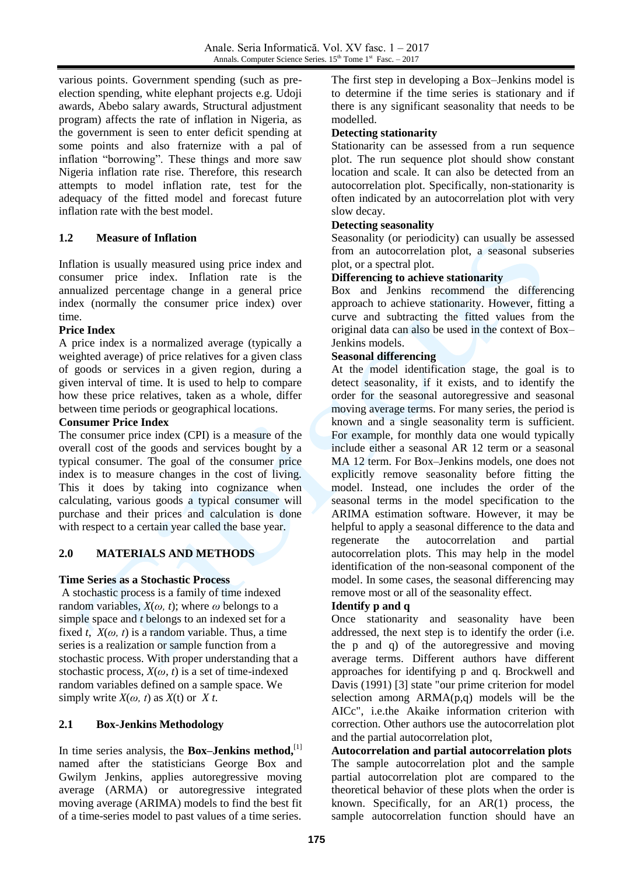various points. Government spending (such as preelection spending, white elephant projects e.g. Udoji awards, Abebo salary awards, Structural adjustment program) affects the rate of inflation in Nigeria, as the government is seen to enter deficit spending at some points and also fraternize with a pal of inflation "borrowing". These things and more saw Nigeria inflation rate rise. Therefore, this research attempts to model inflation rate, test for the adequacy of the fitted model and forecast future inflation rate with the best model.

## **1.2 Measure of Inflation**

Inflation is usually measured using price index and consumer price index. Inflation rate is the annualized percentage change in a general price index (normally the consumer price index) over time.

#### **Price Index**

A price index is a normalized average (typically a weighted average) of price relatives for a given class of goods or services in a given region, during a given interval of time. It is used to help to compare how these price relatives, taken as a whole, differ between time periods or geographical locations.

#### **Consumer Price Index**

The consumer price index (CPI) is a measure of the overall cost of the goods and services bought by a typical consumer. The goal of the consumer price index is to measure changes in the cost of living. This it does by taking into cognizance when calculating, various goods a typical consumer will purchase and their prices and calculation is done with respect to a certain year called the base year.

# **2.0 MATERIALS AND METHODS**

#### **Time Series as a Stochastic Process**

A stochastic process is a family of time indexed random variables,  $X(\omega, t)$ ; where  $\omega$  belongs to a simple space and *t* belongs to an indexed set for a fixed *t*,  $X(\omega, t)$  is a random variable. Thus, a time series is a realization or sample function from a stochastic process. With proper understanding that a stochastic process, *X*(*ω, t*) is a set of time-indexed random variables defined on a sample space. We simply write  $X(\omega, t)$  as  $X(t)$  or  $X$   $t$ .

## **2.1 Box-Jenkins Methodology**

In [time series analysis,](https://en.wikipedia.org/wiki/Time_series_analysis) the **Box–Jenkins method**, $[1]$ named after the [statisticians](https://en.wikipedia.org/wiki/Statistician) [George Box](https://en.wikipedia.org/wiki/George_Box) and [Gwilym Jenkins,](https://en.wikipedia.org/wiki/Gwilym_Jenkins) applies [autoregressive moving](https://en.wikipedia.org/wiki/Autoregressive_moving_average)  [average](https://en.wikipedia.org/wiki/Autoregressive_moving_average) (ARMA) or [autoregressive integrated](https://en.wikipedia.org/wiki/Autoregressive_integrated_moving_average)  [moving average](https://en.wikipedia.org/wiki/Autoregressive_integrated_moving_average) (ARIMA) models to find the best fit of a time-series model to past values of a [time series.](https://en.wikipedia.org/wiki/Time_series)

The first step in developing a Box–Jenkins model is to determine if the time series is stationary and if there is any significant seasonality that needs to be modelled.

#### **Detecting stationarity**

Stationarity can be assessed from a run sequence plot. The run sequence plot should show constant location and scale. It can also be detected from an autocorrelation plot. Specifically, non-stationarity is often indicated by an autocorrelation plot with very slow decay.

#### **Detecting seasonality**

Seasonality (or periodicity) can usually be assessed from an autocorrelation plot, a seasonal subseries plot, or a spectral plot.

#### **Differencing to achieve stationarity**

Box and Jenkins recommend the differencing approach to achieve stationarity. However, fitting a curve and subtracting the fitted values from the original data can also be used in the context of Box– Jenkins models.

#### **Seasonal differencing**

At the model identification stage, the goal is to detect seasonality, if it exists, and to identify the order for the seasonal autoregressive and seasonal moving average terms. For many series, the period is known and a single seasonality term is sufficient. For example, for monthly data one would typically include either a seasonal AR 12 term or a seasonal MA 12 term. For Box–Jenkins models, one does not explicitly remove seasonality before fitting the model. Instead, one includes the order of the seasonal terms in the model specification to the ARIMA estimation software. However, it may be helpful to apply a seasonal difference to the data and regenerate the autocorrelation and partial autocorrelation plots. This may help in the model identification of the non-seasonal component of the model. In some cases, the seasonal differencing may remove most or all of the seasonality effect.

#### **Identify p and q**

Once stationarity and seasonality have been addressed, the next step is to identify the order (i.e. the p and q) of the autoregressive and moving average terms. Different authors have different approaches for identifying p and q. Brockwell and Davis (1991) [3] state "our prime criterion for model selection among ARMA(p,q) models will be the AICc", i.e.the Akaike information criterion with correction. Other authors use the autocorrelation plot and the partial autocorrelation plot,

**Autocorrelation and partial autocorrelation plots** The sample autocorrelation plot and the sample partial autocorrelation plot are compared to the theoretical behavior of these plots when the order is known. Specifically, for an AR(1) process, the sample autocorrelation function should have an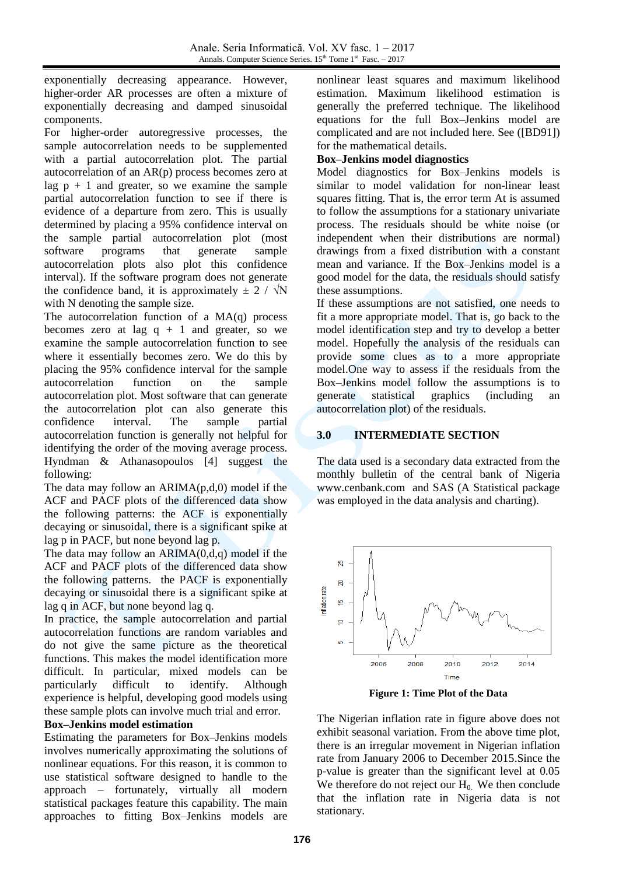exponentially decreasing appearance. However, higher-order AR processes are often a mixture of exponentially decreasing and damped sinusoidal components.

For higher-order autoregressive processes, the sample autocorrelation needs to be supplemented with a partial autocorrelation plot. The partial autocorrelation of an AR(p) process becomes zero at lag  $p + 1$  and greater, so we examine the sample partial autocorrelation function to see if there is evidence of a departure from zero. This is usually determined by placing a 95% confidence interval on the sample partial autocorrelation plot (most software programs that generate sample autocorrelation plots also plot this confidence interval). If the software program does not generate the confidence band, it is approximately  $\pm$  2 /  $\sqrt{N}$ with N denoting the sample size.

The autocorrelation function of a MA(q) process becomes zero at lag  $q + 1$  and greater, so we examine the sample autocorrelation function to see where it essentially becomes zero. We do this by placing the 95% confidence interval for the sample autocorrelation function on the sample autocorrelation plot. Most software that can generate the autocorrelation plot can also generate this confidence interval. The sample partial autocorrelation function is generally not helpful for identifying the order of the moving average process. Hyndman & Athanasopoulos [4] suggest the following:

The data may follow an  $ARIMA(p,d,0)$  model if the ACF and PACF plots of the differenced data show the following patterns: the ACF is exponentially decaying or sinusoidal, there is a significant spike at lag p in PACF, but none beyond lag p.

The data may follow an  $ARIMA(0,d,q)$  model if the ACF and PACF plots of the differenced data show the following patterns. the PACF is exponentially decaying or sinusoidal there is a significant spike at lag q in ACF, but none beyond lag q.

In practice, the sample autocorrelation and partial autocorrelation functions are random variables and do not give the same picture as the theoretical functions. This makes the model identification more difficult. In particular, mixed models can be particularly difficult to identify. Although experience is helpful, developing good models using these sample plots can involve much trial and error.

#### **Box–Jenkins model estimation**

Estimating the parameters for Box–Jenkins models involves numerically approximating the solutions of nonlinear equations. For this reason, it is common to use statistical software designed to handle to the approach – fortunately, virtually all modern statistical packages feature this capability. The main approaches to fitting Box–Jenkins models are

nonlinear least squares and maximum likelihood estimation. Maximum likelihood estimation is generally the preferred technique. The likelihood equations for the full Box–Jenkins model are complicated and are not included here. See ([BD91]) for the mathematical details.

## **Box–Jenkins model diagnostics**

Model diagnostics for Box–Jenkins models is similar to model validation for non-linear least squares fitting. That is, the error term At is assumed to follow the assumptions for a stationary univariate process. The residuals should be white noise (or independent when their distributions are normal) drawings from a fixed distribution with a constant mean and variance. If the Box–Jenkins model is a good model for the data, the residuals should satisfy these assumptions.

If these assumptions are not satisfied, one needs to fit a more appropriate model. That is, go back to the model identification step and try to develop a better model. Hopefully the analysis of the residuals can provide some clues as to a more appropriate model.One way to assess if the residuals from the Box–Jenkins model follow the assumptions is to generate statistical graphics (including an autocorrelation plot) of the residuals.

# **3.0 INTERMEDIATE SECTION**

The data used is a secondary data extracted from the monthly bulletin of the central bank of Nigeria [www.cenbank.com](http://www.cenbank.com/) and SAS (A Statistical package was employed in the data analysis and charting).



**Figure 1: Time Plot of the Data**

The Nigerian inflation rate in figure above does not exhibit seasonal variation. From the above time plot, there is an irregular movement in Nigerian inflation rate from January 2006 to December 2015.Since the p-value is greater than the significant level at 0.05 We therefore do not reject our  $H_0$ . We then conclude that the inflation rate in Nigeria data is not stationary.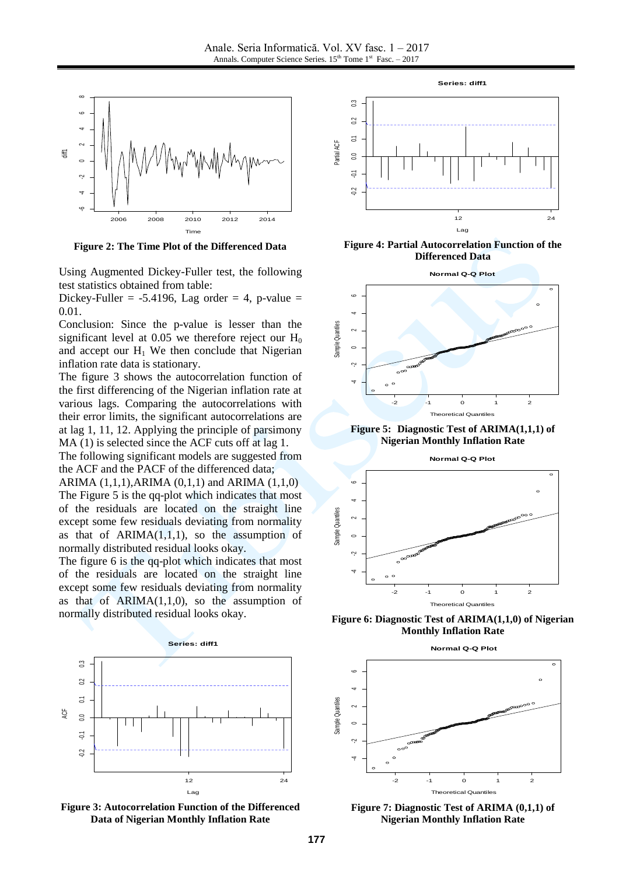

**Figure 2: The Time Plot of the Differenced Data**

Using Augmented Dickey-Fuller test, the following test statistics obtained from table:

Dickey-Fuller =  $-5.4196$ , Lag order = 4, p-value = 0.01.

Conclusion: Since the p-value is lesser than the significant level at  $0.05$  we therefore reject our  $H_0$ and accept our  $H_1$  We then conclude that Nigerian inflation rate data is stationary.

The figure 3 shows the autocorrelation function of the first differencing of the Nigerian inflation rate at various lags. Comparing the autocorrelations with their error limits, the significant autocorrelations are at lag 1, 11, 12. Applying the principle of parsimony MA (1) is selected since the ACF cuts off at lag 1.

The following significant models are suggested from the ACF and the PACF of the differenced data;

ARIMA  $(1,1,1)$ , ARIMA  $(0,1,1)$  and ARIMA  $(1,1,0)$ The Figure 5 is the qq-plot which indicates that most of the residuals are located on the straight line except some few residuals deviating from normality as that of  $ARIMA(1,1,1)$ , so the assumption of normally distributed residual looks okay.

The figure 6 is the qq-plot which indicates that most of the residuals are located on the straight line except some few residuals deviating from normality as that of  $ARIMA(1,1,0)$ , so the assumption of normally distributed residual looks okay.



**Figure 3: Autocorrelation Function of the Differenced Data of Nigerian Monthly Inflation Rate**



**Figure 4: Partial Autocorrelation Function of the Differenced Data**



**Figure 5: Diagnostic Test of ARIMA(1,1,1) of Nigerian Monthly Inflation Rate**



**Figure 6: Diagnostic Test of ARIMA(1,1,0) of Nigerian Monthly Inflation Rate**





**Figure 7: Diagnostic Test of ARIMA (0,1,1) of Nigerian Monthly Inflation Rate**